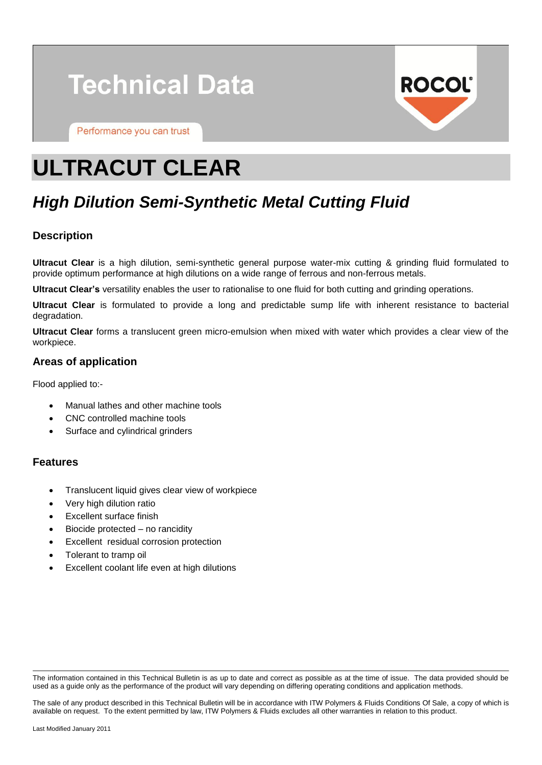# **Technical Data**

Performance you can trust



# **ULTRACUT CLEAR**

# *High Dilution Semi-Synthetic Metal Cutting Fluid*

# **Description**

**Ultracut Clear** is a high dilution, semi-synthetic general purpose water-mix cutting & grinding fluid formulated to provide optimum performance at high dilutions on a wide range of ferrous and non-ferrous metals.

**Ultracut Clear's** versatility enables the user to rationalise to one fluid for both cutting and grinding operations.

**Ultracut Clear** is formulated to provide a long and predictable sump life with inherent resistance to bacterial degradation.

**Ultracut Clear** forms a translucent green micro-emulsion when mixed with water which provides a clear view of the workpiece.

# **Areas of application**

Flood applied to:-

- Manual lathes and other machine tools
- CNC controlled machine tools
- Surface and cylindrical grinders

# **Features**

- Translucent liquid gives clear view of workpiece
- Very high dilution ratio
- Excellent surface finish
- Biocide protected no rancidity
- Excellent residual corrosion protection
- Tolerant to tramp oil
- Excellent coolant life even at high dilutions

The information contained in this Technical Bulletin is as up to date and correct as possible as at the time of issue. The data provided should be used as a guide only as the performance of the product will vary depending on differing operating conditions and application methods.

The sale of any product described in this Technical Bulletin will be in accordance with ITW Polymers & Fluids Conditions Of Sale, a copy of which is available on request. To the extent permitted by law, ITW Polymers & Fluids excludes all other warranties in relation to this product.